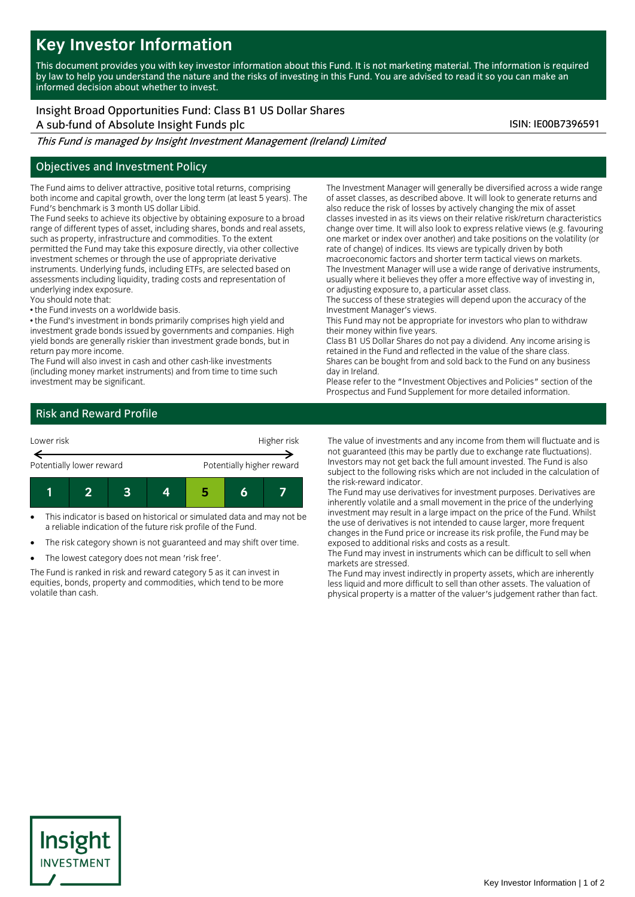# **Key Investor Information**

This document provides you with key investor information about this Fund. It is not marketing material. The information is required by law to help you understand the nature and the risks of investing in this Fund. You are advised to read it so you can make an informed decision about whether to invest.

## Insight Broad Opportunities Fund: Class B1 US Dollar Shares

A sub-fund of Absolute Insight Funds plc ISIN: IE00B7396591

This Fund is managed by Insight Investment Management (Ireland) Limited

#### Objectives and Investment Policy

The Fund aims to deliver attractive, positive total returns, comprising both income and capital growth, over the long term (at least 5 years). The Fund's benchmark is 3 month US dollar Libid.

The Fund seeks to achieve its objective by obtaining exposure to a broad range of different types of asset, including shares, bonds and real assets, such as property, infrastructure and commodities. To the extent permitted the Fund may take this exposure directly, via other collective investment schemes or through the use of appropriate derivative instruments. Underlying funds, including ETFs, are selected based on assessments including liquidity, trading costs and representation of underlying index exposure.

You should note that:

• the Fund invests on a worldwide basis.

• the Fund's investment in bonds primarily comprises high yield and investment grade bonds issued by governments and companies. High yield bonds are generally riskier than investment grade bonds, but in return pay more income.

The Fund will also invest in cash and other cash-like investments (including money market instruments) and from time to time such investment may be significant.

The Investment Manager will generally be diversified across a wide range of asset classes, as described above. It will look to generate returns and also reduce the risk of losses by actively changing the mix of asset classes invested in as its views on their relative risk/return characteristics change over time. It will also look to express relative views (e.g. favouring one market or index over another) and take positions on the volatility (or rate of change) of indices. Its views are typically driven by both macroeconomic factors and shorter term tactical views on markets. The Investment Manager will use a wide range of derivative instruments,

usually where it believes they offer a more effective way of investing in, or adjusting exposure to, a particular asset class.

The success of these strategies will depend upon the accuracy of the Investment Manager's views.

This Fund may not be appropriate for investors who plan to withdraw their money within five years.

Class B1 US Dollar Shares do not pay a dividend. Any income arising is retained in the Fund and reflected in the value of the share class. Shares can be bought from and sold back to the Fund on any business day in Ireland.

Please refer to the "Investment Objectives and Policies" section of the Prospectus and Fund Supplement for more detailed information.

### Risk and Reward Profile



- This indicator is based on historical or simulated data and may not be a reliable indication of the future risk profile of the Fund.
- The risk category shown is not guaranteed and may shift over time.
- The lowest category does not mean 'risk free'.

The Fund is ranked in risk and reward category 5 as it can invest in equities, bonds, property and commodities, which tend to be more volatile than cash.

The value of investments and any income from them will fluctuate and is not guaranteed (this may be partly due to exchange rate fluctuations). Investors may not get back the full amount invested. The Fund is also subject to the following risks which are not included in the calculation of the risk-reward indicator.

The Fund may use derivatives for investment purposes. Derivatives are inherently volatile and a small movement in the price of the underlying investment may result in a large impact on the price of the Fund. Whilst the use of derivatives is not intended to cause larger, more frequent changes in the Fund price or increase its risk profile, the Fund may be exposed to additional risks and costs as a result.

The Fund may invest in instruments which can be difficult to sell when markets are stressed.

The Fund may invest indirectly in property assets, which are inherently less liquid and more difficult to sell than other assets. The valuation of physical property is a matter of the valuer's judgement rather than fact.